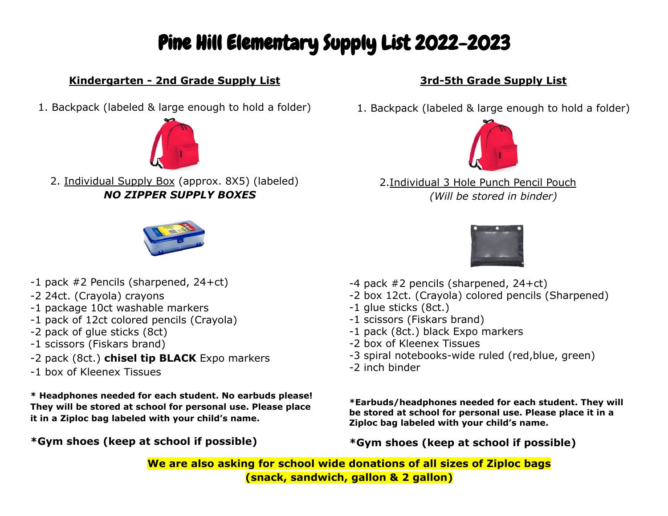# Pine Hill Elementary Supply List 2022-2023

#### **Kindergarten - 2nd Grade Supply List**

1. Backpack (labeled & large enough to hold a folder)



2. Individual Supply Box (approx. 8X5) (labeled) *NO ZIPPER SUPPLY BOXES*



- -1 pack #2 Pencils (sharpened, 24+ct)
- -2 24ct. (Crayola) crayons
- -1 package 10ct washable markers
- -1 pack of 12ct colored pencils (Crayola)
- -2 pack of glue sticks (8ct)
- -1 scissors (Fiskars brand)
- -2 pack (8ct.) **chisel tip BLACK** Expo markers
- -1 box of Kleenex Tissues

**\* Headphones needed for each student. No earbuds please! They will be stored at school for personal use. Please place it in a Ziploc bag labeled with your child's name.**

**\*Gym shoes (keep at school if possible)**

### **3rd-5th Grade Supply List**

1. Backpack (labeled & large enough to hold a folder)



2.Individual 3 Hole Punch Pencil Pouch *(Will be stored in binder)*



- -4 pack #2 pencils (sharpened, 24+ct)
- -2 box 12ct. (Crayola) colored pencils (Sharpened)
- -1 glue sticks (8ct.)
- -1 scissors (Fiskars brand)
- -1 pack (8ct.) black Expo markers
- -2 box of Kleenex Tissues
- -3 spiral notebooks-wide ruled (red,blue, green)
- -2 inch binder

**\*Earbuds/headphones needed for each student. They will be stored at school for personal use. Please place it in a Ziploc bag labeled with your child's name.**

**\*Gym shoes (keep at school if possible)**

**We are also asking for school wide donations of all sizes of Ziploc bags (snack, sandwich, gallon & 2 gallon)**